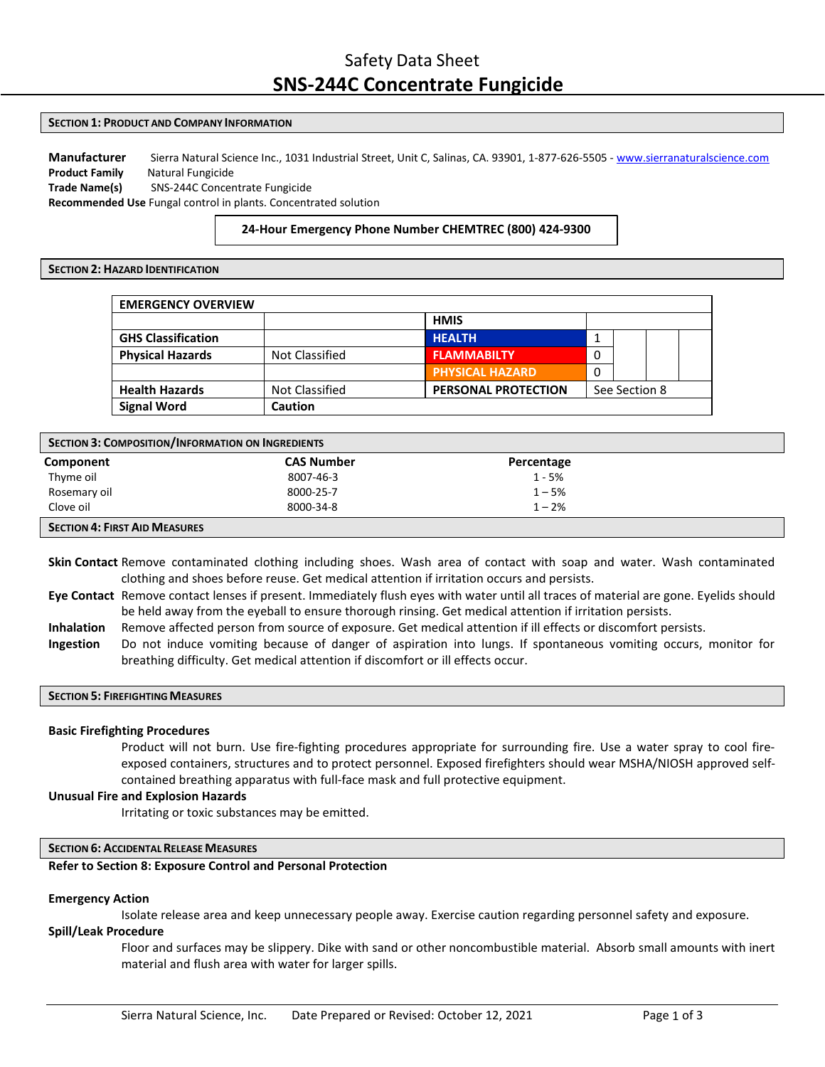# Safety Data Sheet **SNS‐244C Concentrate Fungicide**

### **SECTION 1: PRODUCT AND COMPANY INFORMATION**

**Manufacturer** Sierra Natural Science Inc., 1031 Industrial Street, Unit C, Salinas, CA. 93901, 1‐877‐626‐5505 ‐ [www.sierranaturalscience.com](http://www.sierranaturalscience.com/) **Product Family** Natural Fungicide **Trade Name(s)** SNS‐244C Concentrate Fungicide **Recommended Use** Fungal control in plants. Concentrated solution

# **24‐Hour Emergency Phone Number CHEMTREC (800) 424‐9300**

## **SECTION 2: HAZARD IDENTIFICATION**

| <b>EMERGENCY OVERVIEW</b> |                       |                            |   |               |  |
|---------------------------|-----------------------|----------------------------|---|---------------|--|
|                           |                       | <b>HMIS</b>                |   |               |  |
| <b>GHS Classification</b> |                       | <b>HEALTH</b>              |   |               |  |
| <b>Physical Hazards</b>   | <b>Not Classified</b> | <b>FLAMMABILTY</b>         | 0 |               |  |
|                           |                       | <b>PHYSICAL HAZARD</b>     | 0 |               |  |
| <b>Health Hazards</b>     | <b>Not Classified</b> | <b>PERSONAL PROTECTION</b> |   | See Section 8 |  |
| <b>Signal Word</b>        | <b>Caution</b>        |                            |   |               |  |

| SECTION 3: COMPOSITION/INFORMATION ON INGREDIENTS |                   |            |  |
|---------------------------------------------------|-------------------|------------|--|
| Component                                         | <b>CAS Number</b> | Percentage |  |
| Thyme oil                                         | 8007-46-3         | 1 - 5%     |  |
| Rosemary oil                                      | 8000-25-7         | $1 - 5%$   |  |
| Clove oil                                         | 8000-34-8         | $1 - 2%$   |  |
| <b>SECTION 4: FIRST AID MEASURES</b>              |                   |            |  |

**Skin Contact** Remove contaminated clothing including shoes. Wash area of contact with soap and water. Wash contaminated clothing and shoes before reuse. Get medical attention if irritation occurs and persists.

- **Eye Contact** Remove contact lenses if present. Immediately flush eyes with water until all traces of material are gone. Eyelids should be held away from the eyeball to ensure thorough rinsing. Get medical attention if irritation persists.
- **Inhalation** Remove affected person from source of exposure. Get medical attention if ill effects or discomfort persists.

**Ingestion** Do not induce vomiting because of danger of aspiration into lungs. If spontaneous vomiting occurs, monitor for breathing difficulty. Get medical attention if discomfort or ill effects occur.

### **SECTION 5: FIREFIGHTINGMEASURES**

### **Basic Firefighting Procedures**

Product will not burn. Use fire‐fighting procedures appropriate for surrounding fire. Use a water spray to cool fire‐ exposed containers, structures and to protect personnel. Exposed firefighters should wear MSHA/NIOSH approved self‐ contained breathing apparatus with full-face mask and full protective equipment.

### **Unusual Fire and Explosion Hazards**

Irritating or toxic substances may be emitted.

### **SECTION 6: ACCIDENTALRELEASE MEASURES**

# **Refer to Section 8: Exposure Control and Personal Protection**

# **Emergency Action**

Isolate release area and keep unnecessary people away. Exercise caution regarding personnel safety and exposure.

# **Spill/Leak Procedure**

Floor and surfaces may be slippery. Dike with sand or other noncombustible material. Absorb small amounts with inert material and flush area with water for larger spills.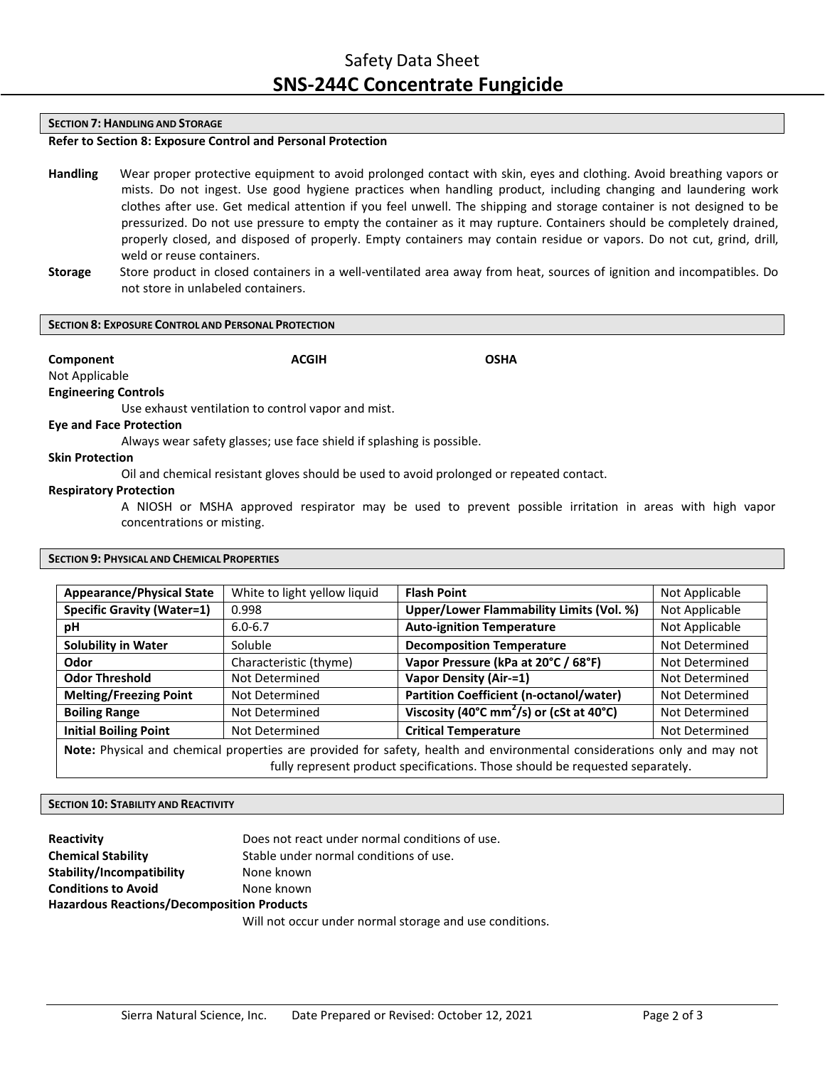### **SECTION 7: HANDLING AND STORAGE**

# **Refer to Section 8: Exposure Control and Personal Protection**

- **Handling** Wear proper protective equipment to avoid prolonged contact with skin, eyes and clothing. Avoid breathing vapors or mists. Do not ingest. Use good hygiene practices when handling product, including changing and laundering work clothes after use. Get medical attention if you feel unwell. The shipping and storage container is not designed to be pressurized. Do not use pressure to empty the container as it may rupture. Containers should be completely drained, properly closed, and disposed of properly. Empty containers may contain residue or vapors. Do not cut, grind, drill, weld or reuse containers.
- **Storage** Store product in closed containers in a well‐ventilated area away from heat, sources of ignition and incompatibles. Do not store in unlabeled containers.

#### **SECTION 8: EXPOSURE CONTROL AND PERSONAL PROTECTION**

**Component ACGIH OSHA**

Not Applicable

**Engineering Controls**

Use exhaust ventilation to control vapor and mist.

## **Eye and Face Protection**

Always wear safety glasses; use face shield if splashing is possible.

# **Skin Protection**

Oil and chemical resistant gloves should be used to avoid prolonged or repeated contact.

## **Respiratory Protection**

A NIOSH or MSHA approved respirator may be used to prevent possible irritation in areas with high vapor concentrations or misting.

## **SECTION 9: PHYSICAL AND CHEMICAL PROPERTIES**

| <b>Appearance/Physical State</b>                                                                                         | White to light yellow liquid | <b>Flash Point</b><br>Not Applicable                                       |                |  |
|--------------------------------------------------------------------------------------------------------------------------|------------------------------|----------------------------------------------------------------------------|----------------|--|
| <b>Specific Gravity (Water=1)</b>                                                                                        | 0.998                        | Upper/Lower Flammability Limits (Vol. %)<br>Not Applicable                 |                |  |
| рH                                                                                                                       | $6.0 - 6.7$                  | <b>Auto-ignition Temperature</b>                                           | Not Applicable |  |
| <b>Solubility in Water</b>                                                                                               | Soluble                      | <b>Decomposition Temperature</b>                                           | Not Determined |  |
| Odor                                                                                                                     | Characteristic (thyme)       | Vapor Pressure (kPa at 20°C / 68°F)                                        | Not Determined |  |
| <b>Odor Threshold</b>                                                                                                    | Not Determined               | <b>Vapor Density (Air-=1)</b>                                              | Not Determined |  |
| <b>Melting/Freezing Point</b>                                                                                            | Not Determined               | <b>Partition Coefficient (n-octanol/water)</b>                             | Not Determined |  |
| <b>Boiling Range</b>                                                                                                     | Not Determined               | Viscosity (40 $^{\circ}$ C mm <sup>2</sup> /s) or (cSt at 40 $^{\circ}$ C) | Not Determined |  |
| <b>Initial Boiling Point</b>                                                                                             | Not Determined               | <b>Critical Temperature</b>                                                | Not Determined |  |
| Note: Physical and chemical properties are provided for safety, health and environmental considerations only and may not |                              |                                                                            |                |  |
| fully represent product specifications. Those should be requested separately.                                            |                              |                                                                            |                |  |

### **SECTION 10: STABILITY AND REACTIVITY**

| Reactivity                                        | Does not react under normal conditions of use.                |  |  |
|---------------------------------------------------|---------------------------------------------------------------|--|--|
| <b>Chemical Stability</b>                         | Stable under normal conditions of use.                        |  |  |
| Stability/Incompatibility                         | None known                                                    |  |  |
| <b>Conditions to Avoid</b>                        | None known                                                    |  |  |
| <b>Hazardous Reactions/Decomposition Products</b> |                                                               |  |  |
|                                                   | وتلمسوها ومرز امسام وسمعوه المعجع وسمامون بسموم ومماسيا التفا |  |  |

Will not occur under normal storage and use conditions.